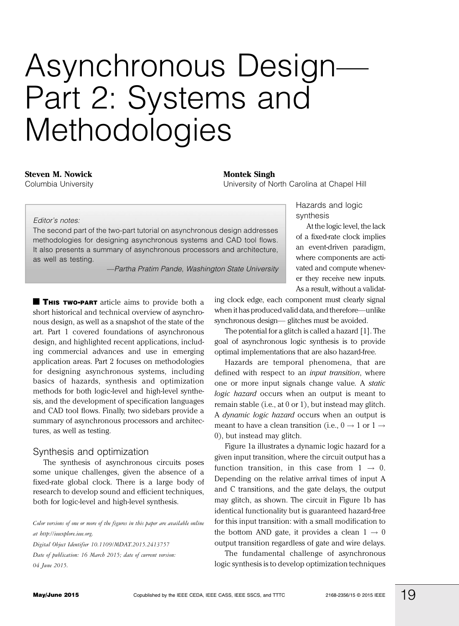# Asynchronous Design-Part 2: Systems and Methodologies

Steven M. Nowick Columbia University Montek Singh

University of North Carolina at Chapel Hill

#### Editor's notes:

The second part of the two-part tutorial on asynchronous design addresses methodologies for designing asynchronous systems and CAD tool flows. It also presents a summary of asynchronous processors and architecture, as well as testing.

-Partha Pratim Pande, Washington State University

**THIS TWO-PART** article aims to provide both a short historical and technical overview of asynchronous design, as well as a snapshot of the state of the art. Part 1 covered foundations of asynchronous design, and highlighted recent applications, including commercial advances and use in emerging application areas. Part 2 focuses on methodologies for designing asynchronous systems, including basics of hazards, synthesis and optimization methods for both logic-level and high-level synthesis, and the development of specification languages and CAD tool flows. Finally, two sidebars provide a summary of asynchronous processors and architectures, as well as testing.

## Synthesis and optimization

The synthesis of asynchronous circuits poses some unique challenges, given the absence of a fixed-rate global clock. There is a large body of research to develop sound and efficient techniques, both for logic-level and high-level synthesis.

Color versions of one or more of the figures in this paper are available online at http://ieeexplore.ieee.org.

Digital Object Identifier 10.1109/MDAT.2015.2413757 Date of publication: 16 March 2015; date of current version: 04 June 2015.

Hazards and logic synthesis

At the logic level, the lack of a fixed-rate clock implies an event-driven paradigm, where components are activated and compute whenever they receive new inputs. As a result, without a validat-

ing clock edge, each component must clearly signal when it has produced valid data, and therefore—unlike synchronous design- glitches must be avoided.

The potential for a glitch is called a hazard [1]. The goal of asynchronous logic synthesis is to provide optimal implementations that are also hazard-free.

Hazards are temporal phenomena, that are defined with respect to an *input transition*, where one or more input signals change value. A static logic hazard occurs when an output is meant to remain stable (i.e., at 0 or 1), but instead may glitch. A dynamic logic hazard occurs when an output is meant to have a clean transition (i.e.,  $0 \rightarrow 1$  or  $1 \rightarrow$ 0), but instead may glitch.

Figure 1a illustrates a dynamic logic hazard for a given input transition, where the circuit output has a function transition, in this case from  $1 \rightarrow 0$ . Depending on the relative arrival times of input A and C transitions, and the gate delays, the output may glitch, as shown. The circuit in Figure 1b has identical functionality but is guaranteed hazard-free for this input transition: with a small modification to the bottom AND gate, it provides a clean  $1 \rightarrow 0$ output transition regardless of gate and wire delays.

The fundamental challenge of asynchronous logic synthesis is to develop optimization techniques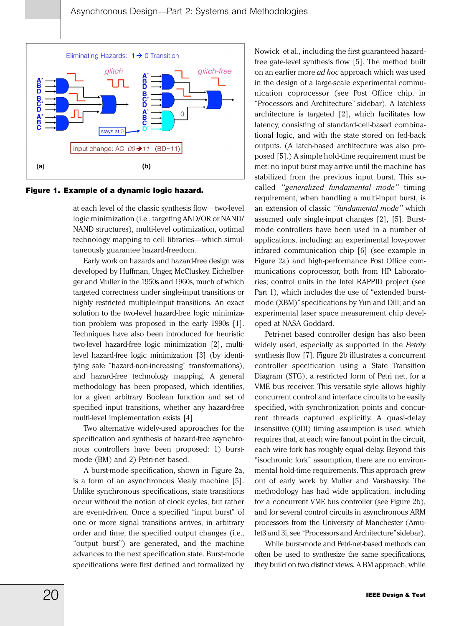

Figure 1. Example of a dynamic logic hazard.

at each level of the classic synthesis flow-two-level logic minimization (i.e., targeting AND/OR or NAND/ NAND structures), multi-level optimization, optimal technology mapping to cell libraries—which simultaneously guarantee hazard-freedom.

Early work on hazards and hazard-free design was developed by Huffman, Unger, McCluskey, Eichelberger and Muller in the 1950s and 1960s, much of which targeted correctness under single-input transitions or highly restricted multiple-input transitions. An exact solution to the two-level hazard-free logic minimization problem was proposed in the early 1990s [1]. Techniques have also been introduced for heuristic two-level hazard-free logic minimization [2], multilevel hazard-free logic minimization [3] (by identifying safe ''hazard-non-increasing'' transformations), and hazard-free technology mapping. A general methodology has been proposed, which identifies, for a given arbitrary Boolean function and set of specified input transitions, whether any hazard-free multi-level implementation exists [4].

Two alternative widely-used approaches for the specification and synthesis of hazard-free asynchronous controllers have been proposed: 1) burstmode (BM) and 2) Petri-net based.

A burst-mode specification, shown in Figure 2a, is a form of an asynchronous Mealy machine [5]. Unlike synchronous specifications, state transitions occur without the notion of clock cycles, but rather are event-driven. Once a specified ''input burst'' of one or more signal transitions arrives, in arbitrary order and time, the specified output changes (i.e., "output burst") are generated, and the machine advances to the next specification state. Burst-mode specifications were first defined and formalized by

Nowick et al., including the first guaranteed hazardfree gate-level synthesis flow [5]. The method built on an earlier more *ad hoc* approach which was used in the design of a large-scale experimental communication coprocessor (see Post Office chip, in ''Processors and Architecture'' sidebar). A latchless architecture is targeted [2], which facilitates low latency, consisting of standard-cell-based combinational logic, and with the state stored on fed-back outputs. (A latch-based architecture was also proposed [5].) A simple hold-time requirement must be met: no input burst may arrive until the machine has stabilized from the previous input burst. This socalled ''generalized fundamental mode'' timing requirement, when handling a multi-input burst, is an extension of classic "fundamental mode" which assumed only single-input changes [2], [5]. Burstmode controllers have been used in a number of applications, including: an experimental low-power infrared communication chip [6] (see example in Figure 2a) and high-performance Post Office communications coprocessor, both from HP Laboratories; control units in the Intel RAPPID project (see Part 1), which includes the use of "extended burstmode (XBM)'' specifications by Yun and Dill; and an experimental laser space measurement chip developed at NASA Goddard.

Petri-net based controller design has also been widely used, especially as supported in the Petrify synthesis flow [7]. Figure 2b illustrates a concurrent controller specification using a State Transition Diagram (STG), a restricted form of Petri net, for a VME bus receiver. This versatile style allows highly concurrent control and interface circuits to be easily specified, with synchronization points and concurrent threads captured explicitly. A quasi-delay insensitive (QDI) timing assumption is used, which requires that, at each wire fanout point in the circuit, each wire fork has roughly equal delay. Beyond this "isochronic fork" assumption, there are no environmental hold-time requirements. This approach grew out of early work by Muller and Varshavsky. The methodology has had wide application, including for a concurrent VME bus controller (see Figure 2b), and for several control circuits in asynchronous ARM processors from the University of Manchester (Amulet3 and 3i, see ''Processors and Architecture''sidebar).

While burst-mode and Petri-net-based methods can often be used to synthesize the same specifications, they build on two distinct views. A BM approach, while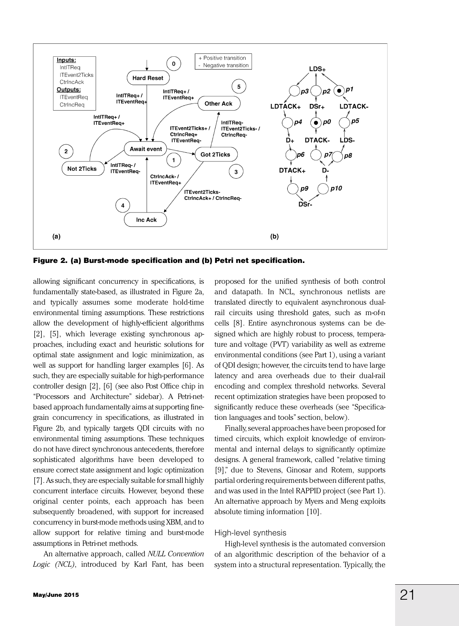

Figure 2. (a) Burst-mode specification and (b) Petri net specification.

allowing significant concurrency in specifications, is fundamentally state-based, as illustrated in Figure 2a, and typically assumes some moderate hold-time environmental timing assumptions. These restrictions allow the development of highly-efficient algorithms [2], [5], which leverage existing synchronous approaches, including exact and heuristic solutions for optimal state assignment and logic minimization, as well as support for handling larger examples [6]. As such, they are especially suitable for high-performance controller design [2], [6] (see also Post Office chip in ''Processors and Architecture'' sidebar). A Petri-netbased approach fundamentally aims at supporting finegrain concurrency in specifications, as illustrated in Figure 2b, and typically targets QDI circuits with no environmental timing assumptions. These techniques do not have direct synchronous antecedents, therefore sophisticated algorithms have been developed to ensure correct state assignment and logic optimization [7]. As such, they are especially suitable for small highly concurrent interface circuits. However, beyond these original center points, each approach has been subsequently broadened, with support for increased concurrency in burst-mode methods using XBM, and to allow support for relative timing and burst-mode assumptions in Petri-net methods.

An alternative approach, called NULL Convention Logic (NCL), introduced by Karl Fant, has been

proposed for the unified synthesis of both control and datapath. In NCL, synchronous netlists are translated directly to equivalent asynchronous dualrail circuits using threshold gates, such as m-of-n cells [8]. Entire asynchronous systems can be designed which are highly robust to process, temperature and voltage (PVT) variability as well as extreme environmental conditions (see Part 1), using a variant of QDI design; however, the circuits tend to have large latency and area overheads due to their dual-rail encoding and complex threshold networks. Several recent optimization strategies have been proposed to significantly reduce these overheads (see "Specification languages and tools'' section, below).

Finally, several approaches have been proposed for timed circuits, which exploit knowledge of environmental and internal delays to significantly optimize designs. A general framework, called ''relative timing [9],'' due to Stevens, Ginosar and Rotem, supports partial ordering requirements between different paths, and was used in the Intel RAPPID project (see Part 1). An alternative approach by Myers and Meng exploits absolute timing information [10].

#### High-level synthesis

High-level synthesis is the automated conversion of an algorithmic description of the behavior of a system into a structural representation. Typically, the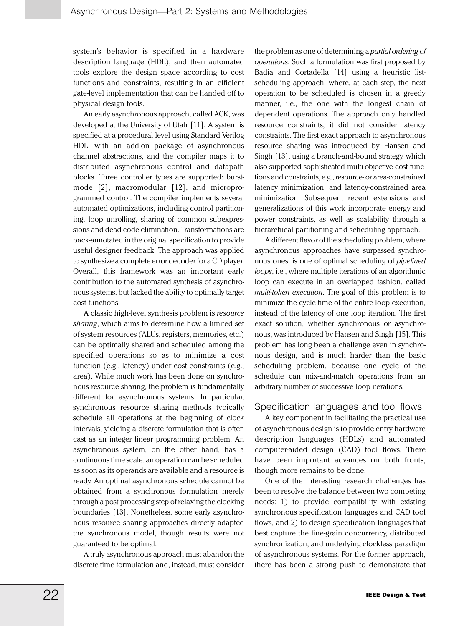system's behavior is specified in a hardware description language (HDL), and then automated tools explore the design space according to cost functions and constraints, resulting in an efficient gate-level implementation that can be handed off to physical design tools.

An early asynchronous approach, called ACK, was developed at the University of Utah [11]. A system is specified at a procedural level using Standard Verilog HDL, with an add-on package of asynchronous channel abstractions, and the compiler maps it to distributed asynchronous control and datapath blocks. Three controller types are supported: burstmode [2], macromodular [12], and microprogrammed control. The compiler implements several automated optimizations, including control partitioning, loop unrolling, sharing of common subexpressions and dead-code elimination. Transformations are back-annotated in the original specification to provide useful designer feedback. The approach was applied to synthesize a complete error decoder for a CD player. Overall, this framework was an important early contribution to the automated synthesis of asynchronous systems, but lacked the ability to optimally target cost functions.

A classic high-level synthesis problem is resource sharing, which aims to determine how a limited set of system resources (ALUs, registers, memories, etc.) can be optimally shared and scheduled among the specified operations so as to minimize a cost function (e.g., latency) under cost constraints (e.g., area). While much work has been done on synchronous resource sharing, the problem is fundamentally different for asynchronous systems. In particular, synchronous resource sharing methods typically schedule all operations at the beginning of clock intervals, yielding a discrete formulation that is often cast as an integer linear programming problem. An asynchronous system, on the other hand, has a continuous time scale: an operation can be scheduled as soon as its operands are available and a resource is ready. An optimal asynchronous schedule cannot be obtained from a synchronous formulation merely through a post-processing step of relaxing the clocking boundaries [13]. Nonetheless, some early asynchronous resource sharing approaches directly adapted the synchronous model, though results were not guaranteed to be optimal.

A truly asynchronous approach must abandon the discrete-time formulation and, instead, must consider

the problem as one of determining a partial ordering of operations. Such a formulation was first proposed by Badia and Cortadella [14] using a heuristic listscheduling approach, where, at each step, the next operation to be scheduled is chosen in a greedy manner, i.e., the one with the longest chain of dependent operations. The approach only handled resource constraints, it did not consider latency constraints. The first exact approach to asynchronous resource sharing was introduced by Hansen and Singh [13], using a branch-and-bound strategy, which also supported sophisticated multi-objective cost functions and constraints, e.g., resource- or area-constrained latency minimization, and latency-constrained area minimization. Subsequent recent extensions and generalizations of this work incorporate energy and power constraints, as well as scalability through a hierarchical partitioning and scheduling approach.

A different flavor of the scheduling problem, where asynchronous approaches have surpassed synchronous ones, is one of optimal scheduling of pipelined loops, i.e., where multiple iterations of an algorithmic loop can execute in an overlapped fashion, called multi-token execution. The goal of this problem is to minimize the cycle time of the entire loop execution, instead of the latency of one loop iteration. The first exact solution, whether synchronous or asynchronous, was introduced by Hansen and Singh [15]. This problem has long been a challenge even in synchronous design, and is much harder than the basic scheduling problem, because one cycle of the schedule can mix-and-match operations from an arbitrary number of successive loop iterations.

## Specification languages and tool flows

A key component in facilitating the practical use of asynchronous design is to provide entry hardware description languages (HDLs) and automated computer-aided design (CAD) tool flows. There have been important advances on both fronts, though more remains to be done.

One of the interesting research challenges has been to resolve the balance between two competing needs: 1) to provide compatibility with existing synchronous specification languages and CAD tool flows, and 2) to design specification languages that best capture the fine-grain concurrency, distributed synchronization, and underlying clockless paradigm of asynchronous systems. For the former approach, there has been a strong push to demonstrate that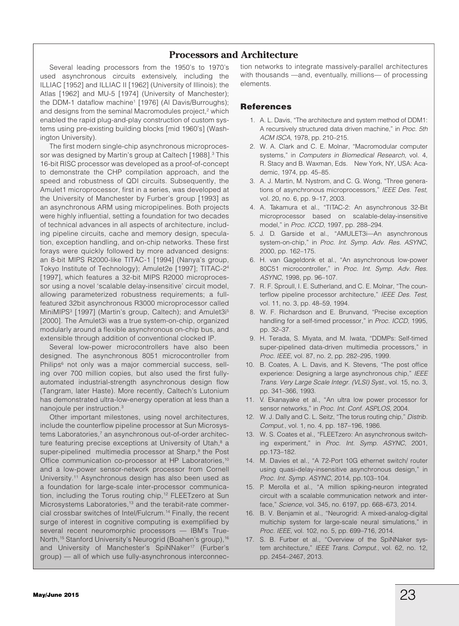# **Processors and Architecture**

Several leading processors from the 1950's to 1970's used asynchronous circuits extensively, including the ILLIAC [1952] and ILLIAC II [1962] (University of Illinois); the Atlas [1962] and MU-5 [1974] (University of Manchester); the DDM-1 dataflow machine<sup>1</sup> [1976] (Al Davis/Burroughs); and designs from the seminal Macromodules project,<sup>2</sup> which enabled the rapid plug-and-play construction of custom systems using pre-existing building blocks [mid 1960's] (Washington University).

The first modern single-chip asynchronous microprocessor was designed by Martin's group at Caltech [1988].<sup>3</sup> This 16-bit RISC processor was developed as a proof-of-concept to demonstrate the CHP compilation approach, and the speed and robustness of QDI circuits. Subsequently, the Amulet1 microprocessor, first in a series, was developed at the University of Manchester by Furber's group [1993] as an asynchronous ARM using micropipelines. Both projects were highly influential, setting a foundation for two decades of technical advances in all aspects of architecture, including pipeline circuits, cache and memory design, speculation, exception handling, and on-chip networks. These first forays were quickly followed by more advanced designs: an 8-bit MIPS R2000-like TITAC-1 [1994] (Nanya's group, Tokyo Institute of Technology); Amulet2e [1997]; TITAC-24 [1997], which features a 32-bit MIPS R2000 microprocessor using a novel 'scalable delay-insensitive' circuit model, allowing parameterized robustness requirements; a fullfeatured 32bit asynchronous R3000 microprocessor called MiniMIPS<sup>3</sup> [1997] (Martin's group, Caltech); and Amulet3i<sup>5</sup> [2000]. The Amulet3i was a true system-on-chip, organized modularly around a flexible asynchronous on-chip bus, and extensible through addition of conventional clocked IP.

Several low-power microcontrollers have also been designed. The asynchronous 8051 microcontroller from Philips<sup>6</sup> not only was a major commercial success, selling over 700 million copies, but also used the first fullyautomated industrial-strength asynchronous design flow (Tangram, later Haste). More recently, Caltech's Lutonium has demonstrated ultra-low-energy operation at less than a nanojoule per instruction.3

Other important milestones, using novel architectures, include the counterflow pipeline processor at Sun Microsystems Laboratories,<sup>7</sup> an asynchronous out-of-order architecture featuring precise exceptions at University of Utah,<sup>8</sup> a super-pipelined multimedia processor at Sharp,<sup>9</sup> the Post Office communication co-processor at HP Laboratories,<sup>10</sup> and a low-power sensor-network processor from Cornell University.11 Asynchronous design has also been used as a foundation for large-scale inter-processor communication, including the Torus routing chip,<sup>12</sup> FLEETzero at Sun Microsystems Laboratories,<sup>13</sup> and the terabit-rate commercial crossbar switches of Intel/Fulcrum.14 Finally, the recent surge of interest in cognitive computing is exemplified by several recent neuromorphic processors — IBM's True-North,<sup>15</sup> Stanford University's Neurogrid (Boahen's group),<sup>16</sup> and University of Manchester's SpiNNaker<sup>17</sup> (Furber's group) — all of which use fully-asynchronous interconnection networks to integrate massively-parallel architectures with thousands —and, eventually, millions— of processing elements.

## **References**

- 1. A. L. Davis, "The architecture and system method of DDM1: A recursively structured data driven machine," in *Proc. 5th ACM ISCA*, 1978, pp. 210–215.
- 2. W. A. Clark and C. E. Molnar, "Macromodular computer systems," in *Computers in Biomedical Research*, vol. 4, R. Stacy and B. Waxman, Eds. New York, NY, USA: Academic, 1974, pp. 45–85.
- 3. A. J. Martin, M. Nystrom, and C. G. Wong, "Three generations of asynchronous microprocessors," *IEEE Des. Test*, vol. 20, no. 6, pp. 9–17, 2003.
- 4. A. Takamura et al., "TITAC-2: An asynchronous 32-Bit microprocessor based on scalable-delay-insensitive model," in *Proc. ICCD*, 1997, pp. 288–294.
- 5. J. D. Garside et al., "AMULET3i—An asynchronous system-on-chip," in *Proc. Int. Symp. Adv. Res. ASYNC*, 2000, pp. 162–175.
- 6. H. van Gageldonk et al., "An asynchronous low-power 80C51 microcontroller," in *Proc. Int. Symp. Adv. Res. ASYNC*, 1998, pp. 96–107.
- 7. R. F. Sproull, I. E. Sutherland, and C. E. Molnar, "The counterflow pipeline processor architecture," IEEE Des. Test, vol. 11, no. 3, pp. 48–59, 1994.
- 8. W. F. Richardson and E. Brunvand, "Precise exception handling for a self-timed processor," in *Proc. ICCD*, 1995, pp. 32–37.
- 9. H. Terada, S. Miyata, and M. Iwata, "DDMPs: Self-timed super-pipelined data-driven multimedia processors," in *Proc. IEEE*, vol. 87, no. 2, pp. 282–295, 1999.
- 10. B. Coates, A. L. Davis, and K. Stevens, "The post office experience: Designing a large asynchronous chip," *IEEE Trans. Very Large Scale Integr. (VLSI) Syst*., vol. 15, no. 3, pp. 341–366, 1993.
- 11. V. Ekanayake et al., "An ultra low power processor for sensor networks," in *Proc. Int. Conf. ASPLOS*, 2004.
- 12. W. J. Dally and C. L. Seitz, "The torus routing chip," *Distrib. Comput*., vol. 1, no. 4, pp. 187–196, 1986.
- 13. W. S. Coates et al., "FLEETzero: An asynchronous switching experiment," in *Proc. Int. Symp. ASYNC*, 2001, pp.173–182.
- 14. M. Davies et al., "A 72-Port 10G ethernet switch/ router using quasi-delay-insensitive asynchronous design," in *Proc. Int. Symp. ASYNC*, 2014, pp.103–104.
- 15. P. Merolla et al., "A million spiking-neuron integrated circuit with a scalable communication network and interface," *Science*, vol. 345, no. 6197, pp. 668–673, 2014.
- 16. B. V. Benjamin et al., "Neurogrid: A mixed-analog-digital multichip system for large-scale neural simulations," in *Proc. IEEE*, vol. 102, no. 5, pp. 699–716, 2014.
- 17. S. B. Furber et al., "Overview of the SpiNNaker system architecture," *IEEE Trans. Comput*., vol. 62, no. 12, pp. 2454–2467, 2013.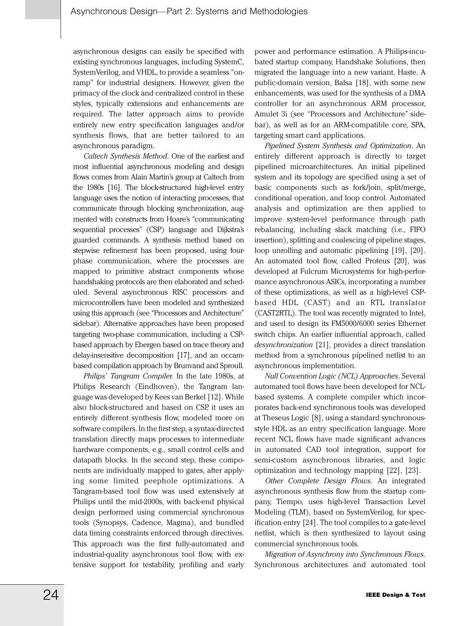asynchronous designs can easily be specified with existing synchronous languages, including SystemC, SystemVerilog, and VHDL, to provide a seamless ''onramp'' for industrial designers. However, given the primacy of the clock and centralized control in these styles, typically extensions and enhancements are required. The latter approach aims to provide entirely new entry specification languages and/or synthesis flows, that are better tailored to an asynchronous paradigm.

Caltech Synthesis Method. One of the earliest and most influential asynchronous modeling and design flows comes from Alain Martin's group at Caltech from the 1980s [16]. The block-structured high-level entry language uses the notion of interacting processes, that communicate through blocking synchronization, augmented with constructs from Hoare's ''communicating sequential processes'' (CSP) language and Dijkstra's guarded commands. A synthesis method based on stepwise refinement has been proposed, using fourphase communication, where the processes are mapped to primitive abstract components whose handshaking protocols are then elaborated and scheduled. Several asynchronous RISC processors and microcontrollers have been modeled and synthesized using this approach (see "Processors and Architecture" sidebar). Alternative approaches have been proposed targeting two-phase communication, including a CSPbased approach by Ebergen based on trace theory and delay-insensitive decomposition [17], and an occambased compilation approach by Brunvand and Sproull.

Philips' Tangram Compiler. In the late 1980s, at Philips Research (Eindhoven), the Tangram language was developed by Kees van Berkel [12]. While also block-structured and based on CSP, it uses an entirely different synthesis flow, modeled more on software compilers. In the first step, a syntax-directed translation directly maps processes to intermediate hardware components, e.g., small control cells and datapath blocks. In the second step, these components are individually mapped to gates, after applying some limited peephole optimizations. A Tangram-based tool flow was used extensively at Philips until the mid-2000s, with back-end physical design performed using commercial synchronous tools (Synopsys, Cadence, Magma), and bundled data timing constraints enforced through directives. This approach was the first fully-automated and industrial-quality asynchronous tool flow, with extensive support for testability, profiling and early power and performance estimation. A Philips-incubated startup company, Handshake Solutions, then migrated the language into a new variant, Haste. A public-domain version, Balsa [18], with some new enhancements, was used for the synthesis of a DMA controller for an asynchronous ARM processor, Amulet 3i (see "Processors and Architecture" sidebar), as well as for an ARM-compatible core, SPA, targeting smart card applications.

Pipelined System Synthesis and Optimization. An entirely different approach is directly to target pipelined microarchitectures. An initial pipelined system and its topology are specified using a set of basic components such as fork/join, split/merge, conditional operation, and loop control. Automated analysis and optimization are then applied to improve system-level performance through path rebalancing, including slack matching (i.e., FIFO insertion), splitting and coalescing of pipeline stages, loop unrolling and automatic pipelining [19], [20]. An automated tool flow, called Proteus [20], was developed at Fulcrum Microsystems for high-performance asynchronous ASICs, incorporating a number of these optimizations, as well as a high-level CSPbased HDL (CAST) and an RTL translator (CAST2RTL). The tool was recently migrated to Intel, and used to design its FM5000/6000 series Ethernet switch chips. An earlier influential approach, called desynchronization [21], provides a direct translation method from a synchronous pipelined netlist to an asynchronous implementation.

Null Convention Logic (NCL) Approaches. Several automated tool flows have been developed for NCLbased systems. A complete compiler which incorporates back-end synchronous tools was developed at Theseus Logic [8], using a standard synchronousstyle HDL as an entry specification language. More recent NCL flows have made significant advances in automated CAD tool integration, support for semi-custom asynchronous libraries, and logic optimization and technology mapping [22], [23].

Other Complete Design Flows. An integrated asynchronous synthesis flow from the startup company, Tiempo, uses high-level Transaction Level Modeling (TLM), based on SystemVerilog, for specification entry [24]. The tool compiles to a gate-level netlist, which is then synthesized to layout using commercial synchronous tools.

Migration of Asynchrony into Synchronous Flows. Synchronous architectures and automated tool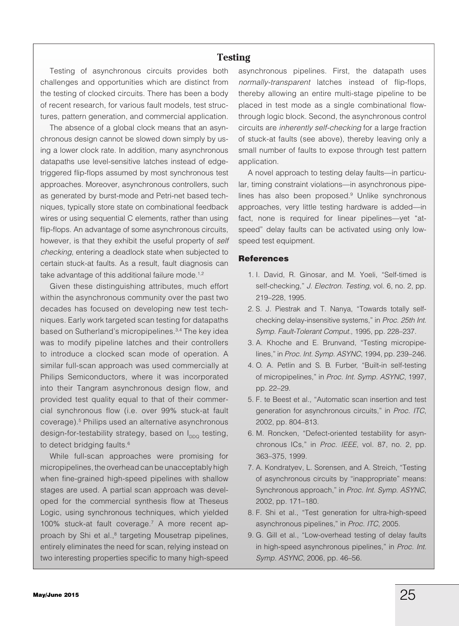# **Testing**

Testing of asynchronous circuits provides both challenges and opportunities which are distinct from the testing of clocked circuits. There has been a body of recent research, for various fault models, test structures, pattern generation, and commercial application.

The absence of a global clock means that an asynchronous design cannot be slowed down simply by using a lower clock rate. In addition, many asynchronous datapaths use level-sensitive latches instead of edgetriggered flip-flops assumed by most synchronous test approaches. Moreover, asynchronous controllers, such as generated by burst-mode and Petri-net based techniques, typically store state on combinational feedback wires or using sequential C elements, rather than using flip-flops. An advantage of some asynchronous circuits, however, is that they exhibit the useful property of *self checking*, entering a deadlock state when subjected to certain stuck-at faults. As a result, fault diagnosis can take advantage of this additional failure mode.<sup>1,2</sup>

Given these distinguishing attributes, much effort within the asynchronous community over the past two decades has focused on developing new test techniques. Early work targeted scan testing for datapaths based on Sutherland's micropipelines.3,4 The key idea was to modify pipeline latches and their controllers to introduce a clocked scan mode of operation. A similar full-scan approach was used commercially at Philips Semiconductors, where it was incorporated into their Tangram asynchronous design flow, and provided test quality equal to that of their commercial synchronous flow (i.e. over 99% stuck-at fault coverage).5 Philips used an alternative asynchronous design-for-testability strategy, based on  $I_{DDQ}$  testing, to detect bridging faults.<sup>6</sup>

While full-scan approaches were promising for micropipelines, the overhead can be unacceptably high when fine-grained high-speed pipelines with shallow stages are used. A partial scan approach was developed for the commercial synthesis flow at Theseus Logic, using synchronous techniques, which yielded 100% stuck-at fault coverage.7 A more recent approach by Shi et al.,<sup>8</sup> targeting Mousetrap pipelines, entirely eliminates the need for scan, relying instead on two interesting properties specific to many high-speed

asynchronous pipelines. First, the datapath uses *normally-transparent* latches instead of flip-flops, thereby allowing an entire multi-stage pipeline to be placed in test mode as a single combinational flowthrough logic block. Second, the asynchronous control circuits are *inherently self-checking* for a large fraction of stuck-at faults (see above), thereby leaving only a small number of faults to expose through test pattern application.

A novel approach to testing delay faults—in particular, timing constraint violations—in asynchronous pipelines has also been proposed.<sup>9</sup> Unlike synchronous approaches, very little testing hardware is added—in fact, none is required for linear pipelines—yet "atspeed" delay faults can be activated using only lowspeed test equipment.

#### **References**

- 1. I. David, R. Ginosar, and M. Yoeli, "Self-timed is self-checking," *J. Electron. Testing*, vol. 6, no. 2, pp. 219–228, 1995.
- 2. S. J. Piestrak and T. Nanya, "Towards totally selfchecking delay-insensitive systems," in *Proc. 25th Int. Symp. Fault-Tolerant Comput*., 1995, pp. 228–237.
- 3. A. Khoche and E. Brunvand, "Testing micropipelines," in *Proc. Int. Symp. ASYNC*, 1994, pp. 239–246.
- 4. O. A. Petlin and S. B. Furber, "Built-in self-testing of micropipelines," in *Proc. Int. Symp. ASYNC*, 1997, pp. 22–29.
- 5. F. te Beest et al., "Automatic scan insertion and test generation for asynchronous circuits," in *Proc. ITC*, 2002, pp. 804–813.
- 6. M. Roncken, "Defect-oriented testability for asynchronous ICs," in *Proc. IEEE*, vol. 87, no. 2, pp. 363–375, 1999.
- 7. A. Kondratyev, L. Sorensen, and A. Streich, "Testing of asynchronous circuits by "inappropriate" means: Synchronous approach," in *Proc. Int. Symp. ASYNC*, 2002, pp. 171–180.
- 8. F. Shi et al., "Test generation for ultra-high-speed asynchronous pipelines," in *Proc. ITC*, 2005.
- 9. G. Gill et al., "Low-overhead testing of delay faults in high-speed asynchronous pipelines," in *Proc. Int. Symp. ASYNC*, 2006, pp. 46–56.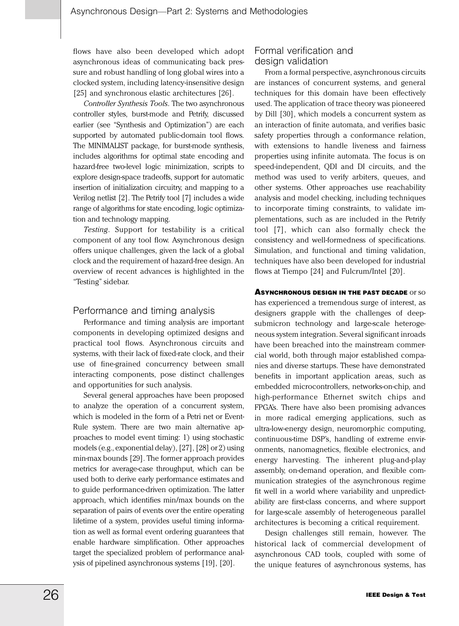flows have also been developed which adopt asynchronous ideas of communicating back pressure and robust handling of long global wires into a clocked system, including latency-insensitive design [25] and synchronous elastic architectures [26].

Controller Synthesis Tools. The two asynchronous controller styles, burst-mode and Petrify, discussed earlier (see ''Synthesis and Optimization'') are each supported by automated public-domain tool flows. The MINIMALIST package, for burst-mode synthesis, includes algorithms for optimal state encoding and hazard-free two-level logic minimization, scripts to explore design-space tradeoffs, support for automatic insertion of initialization circuitry, and mapping to a Verilog netlist [2]. The Petrify tool [7] includes a wide range of algorithms for state encoding, logic optimization and technology mapping.

Testing. Support for testability is a critical component of any tool flow. Asynchronous design offers unique challenges, given the lack of a global clock and the requirement of hazard-free design. An overview of recent advances is highlighted in the ''Testing'' sidebar.

### Performance and timing analysis

Performance and timing analysis are important components in developing optimized designs and practical tool flows. Asynchronous circuits and systems, with their lack of fixed-rate clock, and their use of fine-grained concurrency between small interacting components, pose distinct challenges and opportunities for such analysis.

Several general approaches have been proposed to analyze the operation of a concurrent system, which is modeled in the form of a Petri net or Event-Rule system. There are two main alternative approaches to model event timing: 1) using stochastic models (e.g., exponential delay), [27], [28] or 2) using min-max bounds [29]. The former approach provides metrics for average-case throughput, which can be used both to derive early performance estimates and to guide performance-driven optimization. The latter approach, which identifies min/max bounds on the separation of pairs of events over the entire operating lifetime of a system, provides useful timing information as well as formal event ordering guarantees that enable hardware simplification. Other approaches target the specialized problem of performance analysis of pipelined asynchronous systems [19], [20].

# Formal verification and design validation

From a formal perspective, asynchronous circuits are instances of concurrent systems, and general techniques for this domain have been effectively used. The application of trace theory was pioneered by Dill [30], which models a concurrent system as an interaction of finite automata, and verifies basic safety properties through a conformance relation, with extensions to handle liveness and fairness properties using infinite automata. The focus is on speed-independent, QDI and DI circuits, and the method was used to verify arbiters, queues, and other systems. Other approaches use reachability analysis and model checking, including techniques to incorporate timing constraints, to validate implementations, such as are included in the Petrify tool [7], which can also formally check the consistency and well-formedness of specifications. Simulation, and functional and timing validation, techniques have also been developed for industrial flows at Tiempo [24] and Fulcrum/Intel [20].

#### **ASYNCHRONOUS DESIGN IN THE PAST DECADE OF SO**

has experienced a tremendous surge of interest, as designers grapple with the challenges of deepsubmicron technology and large-scale heterogeneous system integration. Several significant inroads have been breached into the mainstream commercial world, both through major established companies and diverse startups. These have demonstrated benefits in important application areas, such as embedded microcontrollers, networks-on-chip, and high-performance Ethernet switch chips and FPGA's. There have also been promising advances in more radical emerging applications, such as ultra-low-energy design, neuromorphic computing, continuous-time DSP's, handling of extreme environments, nanomagnetics, flexible electronics, and energy harvesting. The inherent plug-and-play assembly, on-demand operation, and flexible communication strategies of the asynchronous regime fit well in a world where variability and unpredictability are first-class concerns, and where support for large-scale assembly of heterogeneous parallel architectures is becoming a critical requirement.

Design challenges still remain, however. The historical lack of commercial development of asynchronous CAD tools, coupled with some of the unique features of asynchronous systems, has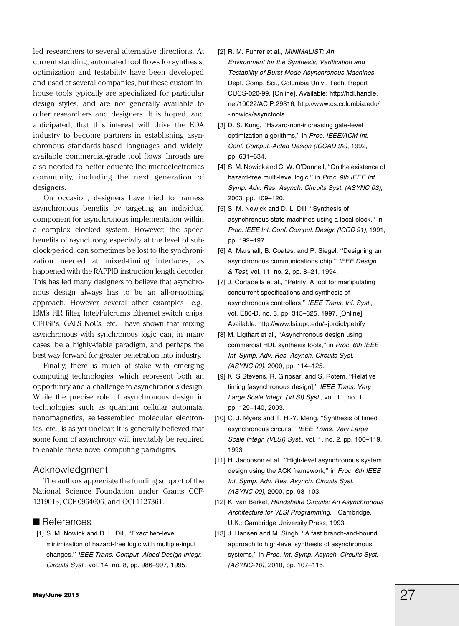led researchers to several alternative directions. At current standing, automated tool flows for synthesis, optimization and testability have been developed and used at several companies, but these custom inhouse tools typically are specialized for particular design styles, and are not generally available to other researchers and designers. It is hoped, and anticipated, that this interest will drive the EDA industry to become partners in establishing asynchronous standards-based languages and widelyavailable commercial-grade tool flows. Inroads are also needed to better educate the microelectronics community, including the next generation of designers.

On occasion, designers have tried to harness asynchronous benefits by targeting an individual component for asynchronous implementation within a complex clocked system. However, the speed benefits of asynchrony, especially at the level of subclock-period, can sometimes be lost to the synchronization needed at mixed-timing interfaces, as happened with the RAPPID instruction length decoder. This has led many designers to believe that asynchronous design always has to be an all-or-nothing approach. However, several other examples-e.g., IBM's FIR filter, Intel/Fulcrum's Ethernet switch chips, CT-DSP's, GALS NoCs, etc.-have shown that mixing asynchronous with synchronous logic can, in many cases, be a highly-viable paradigm, and perhaps the best way forward for greater penetration into industry.

Finally, there is much at stake with emerging computing technologies, which represent both an opportunity and a challenge to asynchronous design. While the precise role of asynchronous design in technologies such as quantum cellular automata, nanomagnetics, self-assembled molecular electronics, etc., is as yet unclear, it is generally believed that some form of asynchrony will inevitably be required to enable these novel computing paradigms.

## Acknowledgment

The authors appreciate the funding support of the National Science Foundation under Grants CCF-1219013, CCF-0964606, and OCI-1127361.

## $\blacksquare$  References

[1] S. M. Nowick and D. L. Dill, "Exact two-level minimization of hazard-free logic with multiple-input changes,'' IEEE Trans. Comput.-Aided Design Integr. Circuits Syst., vol. 14, no. 8, pp. 986–997, 1995.

- [2] R. M. Fuhrer et al., MINIMALIST: An Environment for the Synthesis, Verification and Testability of Burst-Mode Asynchronous Machines. Dept. Comp. Sci., Columbia Univ., Tech. Report CUCS-020-99. [Online]. Available: http://hdl.handle. net/10022/AC:P:29316; http://www.cs.columbia.edu/ ~nowick/asynctools.
- [3] D. S. Kung, "Hazard-non-increasing gate-level optimization algorithms," in Proc. IEEE/ACM Int. Conf. Comput.-Aided Design (ICCAD 92), 1992, pp. 631–634.
- [4] S. M. Nowick and C. W. O'Donnell, "On the existence of hazard-free multi-level logic," in Proc. 9th IEEE Int. Symp. Adv. Res. Asynch. Circuits Syst. (ASYNC 03), 2003, pp. 109–120.
- [5] S. M. Nowick and D. L. Dill, "Synthesis of asynchronous state machines using a local clock,'' in Proc. IEEE Int. Conf. Comput. Design (ICCD 91), 1991, pp. 192–197.
- [6] A. Marshall, B. Coates, and P. Siegel, ''Designing an asynchronous communications chip," IEEE Design & Test, vol. 11, no. 2, pp. 8–21, 1994.
- [7] J. Cortadella et al., "Petrify: A tool for manipulating concurrent specifications and synthesis of asynchronous controllers,'' IEEE Trans. Inf. Syst., vol. E80-D, no. 3, pp. 315–325, 1997. [Online]. Available: http://www.lsi.upc.edu/~jordicf/petrify.
- [8] M. Ligthart et al., "Asynchronous design using commercial HDL synthesis tools," in Proc. 6th IEEE Int. Symp. Adv. Res. Asynch. Circuits Syst. (ASYNC 00), 2000, pp. 114–125.
- [9] K. S Stevens, R. Ginosar, and S. Rotem, ''Relative timing [asynchronous design]," IEEE Trans. Very Large Scale Integr. (VLSI) Syst., vol. 11, no. 1, pp. 129–140, 2003.
- [10] C. J. Myers and T. H.-Y. Meng, "Synthesis of timed asynchronous circuits," IEEE Trans. Very Large Scale Integr. (VLSI) Syst., vol. 1, no. 2, pp. 106-119, 1993.
- [11] H. Jacobson et al., "High-level asynchronous system design using the ACK framework," in Proc. 6th IEEE Int. Symp. Adv. Res. Asynch. Circuits Syst. (ASYNC 00), 2000, pp. 93–103.
- [12] K. van Berkel, Handshake Circuits: An Asynchronous Architecture for VLSI Programming. Cambridge, U.K.: Cambridge University Press, 1993.
- [13] J. Hansen and M. Singh, "A fast branch-and-bound approach to high-level synthesis of asynchronous systems," in Proc. Int. Symp. Asynch. Circuits Syst. (ASYNC-10), 2010, pp. 107–116.